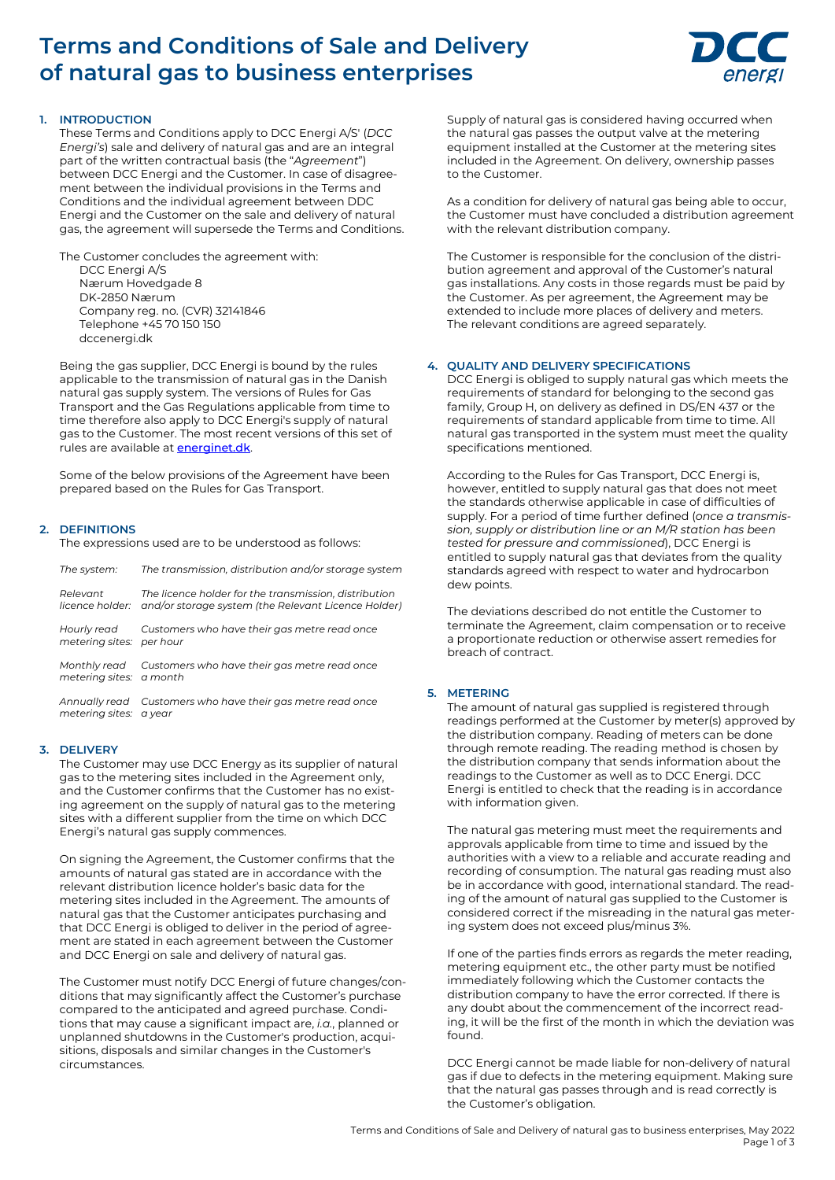# **Terms and Conditions of Sale and Delivery of natural gas to business enterprises**



## **1. INTRODUCTION**

These Terms and Conditions apply to DCC Energi A/S' (*DCC Energi's*) sale and delivery of natural gas and are an integral part of the written contractual basis (the "*Agreement*") between DCC Energi and the Customer. In case of disagreement between the individual provisions in the Terms and Conditions and the individual agreement between DDC Energi and the Customer on the sale and delivery of natural gas, the agreement will supersede the Terms and Conditions.

The Customer concludes the agreement with:

DCC Energi A/S Nærum Hovedgade 8 DK-2850 Nærum Company reg. no. (CVR) 32141846 Telephone +45 70 150 150 dccenergi.dk

Being the gas supplier, DCC Energi is bound by the rules applicable to the transmission of natural gas in the Danish natural gas supply system. The versions of Rules for Gas Transport and the Gas Regulations applicable from time to time therefore also apply to DCC Energi's supply of natural gas to the Customer. The most recent versions of this set of rules are available at **[energinet.dk](https://energinet.dk/)**.

Some of the below provisions of the Agreement have been prepared based on the Rules for Gas Transport.

## **2. DEFINITIONS**

The expressions used are to be understood as follows:

| The system:                             | The transmission, distribution and/or storage system                                                                         |
|-----------------------------------------|------------------------------------------------------------------------------------------------------------------------------|
| Relevant                                | The licence holder for the transmission, distribution<br>licence holder: and/or storage system (the Relevant Licence Holder) |
| Hourly read<br>metering sites: per hour | Customers who have their gas metre read once                                                                                 |
| metering sites: a month                 | Monthly read Customers who have their gas metre read once                                                                    |
| metering sites: a year                  | Annually read Customers who have their gas metre read once                                                                   |

## **3. DELIVERY**

The Customer may use DCC Energy as its supplier of natural gas to the metering sites included in the Agreement only, and the Customer confirms that the Customer has no existing agreement on the supply of natural gas to the metering sites with a different supplier from the time on which DCC Energi's natural gas supply commences.

On signing the Agreement, the Customer confirms that the amounts of natural gas stated are in accordance with the relevant distribution licence holder's basic data for the metering sites included in the Agreement. The amounts of natural gas that the Customer anticipates purchasing and that DCC Energi is obliged to deliver in the period of agreement are stated in each agreement between the Customer and DCC Energi on sale and delivery of natural gas.

The Customer must notify DCC Energi of future changes/conditions that may significantly affect the Customer's purchase compared to the anticipated and agreed purchase. Conditions that may cause a significant impact are, *i.a.*, planned or unplanned shutdowns in the Customer's production, acquisitions, disposals and similar changes in the Customer's circumstances.

Supply of natural gas is considered having occurred when the natural gas passes the output valve at the metering equipment installed at the Customer at the metering sites included in the Agreement. On delivery, ownership passes to the Customer.

As a condition for delivery of natural gas being able to occur, the Customer must have concluded a distribution agreement with the relevant distribution company.

The Customer is responsible for the conclusion of the distribution agreement and approval of the Customer's natural gas installations. Any costs in those regards must be paid by the Customer. As per agreement, the Agreement may be extended to include more places of delivery and meters. The relevant conditions are agreed separately.

## **4. QUALITY AND DELIVERY SPECIFICATIONS**

DCC Energi is obliged to supply natural gas which meets the requirements of standard for belonging to the second gas family, Group H, on delivery as defined in DS/EN 437 or the requirements of standard applicable from time to time. All natural gas transported in the system must meet the quality specifications mentioned.

According to the Rules for Gas Transport, DCC Energi is, however, entitled to supply natural gas that does not meet the standards otherwise applicable in case of difficulties of supply. For a period of time further defined (*once a transmission, supply or distribution line or an M/R station has been tested for pressure and commissioned*), DCC Energi is entitled to supply natural gas that deviates from the quality standards agreed with respect to water and hydrocarbon dew points.

The deviations described do not entitle the Customer to terminate the Agreement, claim compensation or to receive a proportionate reduction or otherwise assert remedies for breach of contract.

## **5. METERING**

The amount of natural gas supplied is registered through readings performed at the Customer by meter(s) approved by the distribution company. Reading of meters can be done through remote reading. The reading method is chosen by the distribution company that sends information about the readings to the Customer as well as to DCC Energi. DCC Energi is entitled to check that the reading is in accordance with information given.

The natural gas metering must meet the requirements and approvals applicable from time to time and issued by the authorities with a view to a reliable and accurate reading and recording of consumption. The natural gas reading must also be in accordance with good, international standard. The reading of the amount of natural gas supplied to the Customer is considered correct if the misreading in the natural gas metering system does not exceed plus/minus 3%.

If one of the parties finds errors as regards the meter reading, metering equipment etc., the other party must be notified immediately following which the Customer contacts the distribution company to have the error corrected. If there is any doubt about the commencement of the incorrect reading, it will be the first of the month in which the deviation was found.

DCC Energi cannot be made liable for non-delivery of natural gas if due to defects in the metering equipment. Making sure that the natural gas passes through and is read correctly is the Customer's obligation.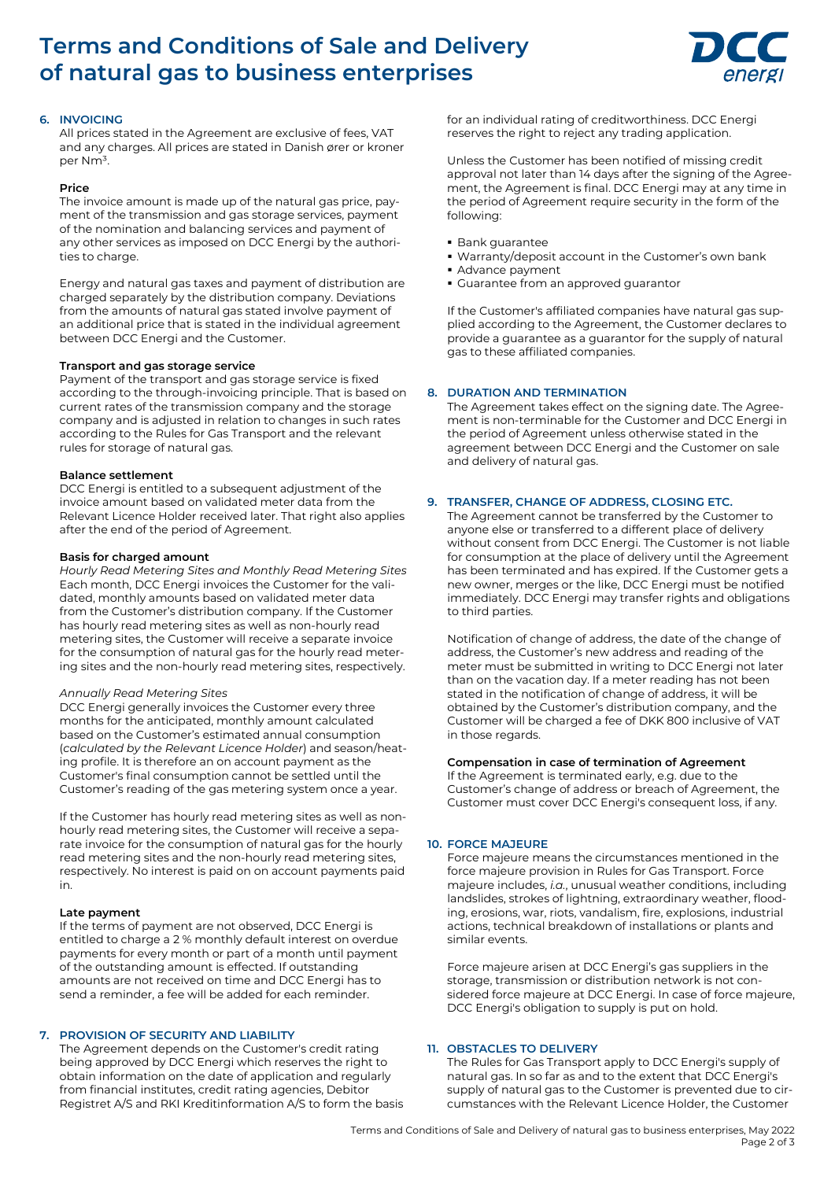# **Terms and Conditions of Sale and Delivery of natural gas to business enterprises**



## **6. INVOICING**

All prices stated in the Agreement are exclusive of fees, VAT and any charges. All prices are stated in Danish ører or kroner per Nm<sup>3</sup>.

#### **Price**

The invoice amount is made up of the natural gas price, payment of the transmission and gas storage services, payment of the nomination and balancing services and payment of any other services as imposed on DCC Energi by the authorities to charge.

Energy and natural gas taxes and payment of distribution are charged separately by the distribution company. Deviations from the amounts of natural gas stated involve payment of an additional price that is stated in the individual agreement between DCC Energi and the Customer.

#### **Transport and gas storage service**

Payment of the transport and gas storage service is fixed according to the through-invoicing principle. That is based on current rates of the transmission company and the storage company and is adjusted in relation to changes in such rates according to the Rules for Gas Transport and the relevant rules for storage of natural gas.

## **Balance settlement**

DCC Energi is entitled to a subsequent adjustment of the invoice amount based on validated meter data from the Relevant Licence Holder received later. That right also applies after the end of the period of Agreement.

#### **Basis for charged amount**

*Hourly Read Metering Sites and Monthly Read Metering Sites* Each month, DCC Energi invoices the Customer for the validated, monthly amounts based on validated meter data from the Customer's distribution company. If the Customer has hourly read metering sites as well as non-hourly read metering sites, the Customer will receive a separate invoice for the consumption of natural gas for the hourly read metering sites and the non-hourly read metering sites, respectively.

#### *Annually Read Metering Sites*

DCC Energi generally invoices the Customer every three months for the anticipated, monthly amount calculated based on the Customer's estimated annual consumption (*calculated by the Relevant Licence Holder*) and season/heating profile. It is therefore an on account payment as the Customer's final consumption cannot be settled until the Customer's reading of the gas metering system once a year.

If the Customer has hourly read metering sites as well as nonhourly read metering sites, the Customer will receive a separate invoice for the consumption of natural gas for the hourly read metering sites and the non-hourly read metering sites, respectively. No interest is paid on on account payments paid in.

#### **Late payment**

If the terms of payment are not observed, DCC Energi is entitled to charge a 2 % monthly default interest on overdue payments for every month or part of a month until payment of the outstanding amount is effected. If outstanding amounts are not received on time and DCC Energi has to send a reminder, a fee will be added for each reminder.

## **7. PROVISION OF SECURITY AND LIABILITY**

The Agreement depends on the Customer's credit rating being approved by DCC Energi which reserves the right to obtain information on the date of application and regularly from financial institutes, credit rating agencies, Debitor Registret A/S and RKI Kreditinformation A/S to form the basis for an individual rating of creditworthiness. DCC Energi reserves the right to reject any trading application.

Unless the Customer has been notified of missing credit approval not later than 14 days after the signing of the Agreement, the Agreement is final. DCC Energi may at any time in the period of Agreement require security in the form of the following:

- **Bank guarantee**
- Warranty/deposit account in the Customer's own bank
- Advance payment
- Guarantee from an approved guarantor

If the Customer's affiliated companies have natural gas supplied according to the Agreement, the Customer declares to provide a guarantee as a guarantor for the supply of natural gas to these affiliated companies.

## **8. DURATION AND TERMINATION**

The Agreement takes effect on the signing date. The Agreement is non-terminable for the Customer and DCC Energi in the period of Agreement unless otherwise stated in the agreement between DCC Energi and the Customer on sale and delivery of natural gas.

## **9. TRANSFER, CHANGE OF ADDRESS, CLOSING ETC.**

The Agreement cannot be transferred by the Customer to anyone else or transferred to a different place of delivery without consent from DCC Energi. The Customer is not liable for consumption at the place of delivery until the Agreement has been terminated and has expired. If the Customer gets a new owner, merges or the like, DCC Energi must be notified immediately. DCC Energi may transfer rights and obligations to third parties.

Notification of change of address, the date of the change of address, the Customer's new address and reading of the meter must be submitted in writing to DCC Energi not later than on the vacation day. If a meter reading has not been stated in the notification of change of address, it will be obtained by the Customer's distribution company, and the Customer will be charged a fee of DKK 800 inclusive of VAT in those regards.

## **Compensation in case of termination of Agreement**

If the Agreement is terminated early, e.g. due to the Customer's change of address or breach of Agreement, the Customer must cover DCC Energi's consequent loss, if any.

## **10. FORCE MAJEURE**

Force majeure means the circumstances mentioned in the force majeure provision in Rules for Gas Transport. Force majeure includes, *i.a.*, unusual weather conditions, including landslides, strokes of lightning, extraordinary weather, flooding, erosions, war, riots, vandalism, fire, explosions, industrial actions, technical breakdown of installations or plants and similar events.

Force majeure arisen at DCC Energi's gas suppliers in the storage, transmission or distribution network is not considered force majeure at DCC Energi. In case of force majeure, DCC Energi's obligation to supply is put on hold.

## **11. OBSTACLES TO DELIVERY**

The Rules for Gas Transport apply to DCC Energi's supply of natural gas. In so far as and to the extent that DCC Energi's supply of natural gas to the Customer is prevented due to circumstances with the Relevant Licence Holder, the Customer